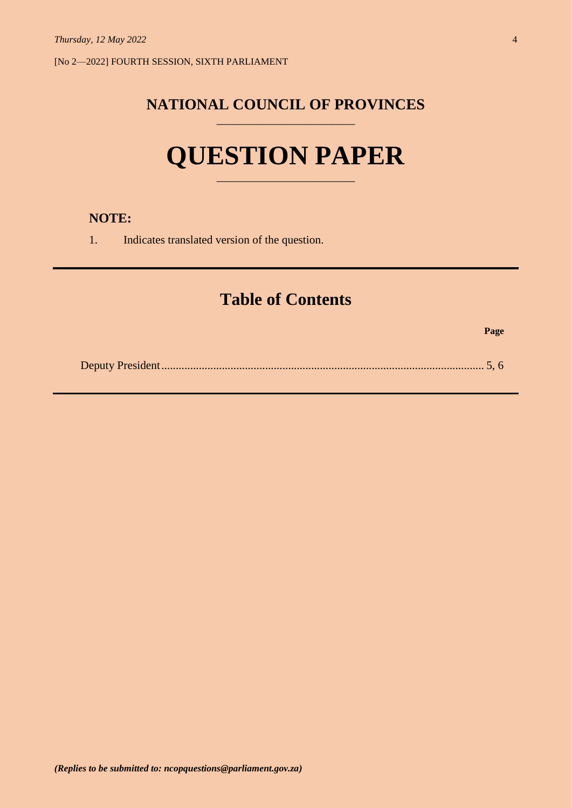[No 2—2022] FOURTH SESSION, SIXTH PARLIAMENT

# **NATIONAL COUNCIL OF PROVINCES** \_\_\_\_\_\_\_\_\_\_\_\_\_\_\_\_\_\_\_\_\_\_\_\_

# **QUESTION PAPER**

\_\_\_\_\_\_\_\_\_\_\_\_\_\_\_\_\_\_\_\_\_\_\_\_

# **NOTE:**

1. Indicates translated version of the question.

# **Table of Contents**

**Page**

|--|--|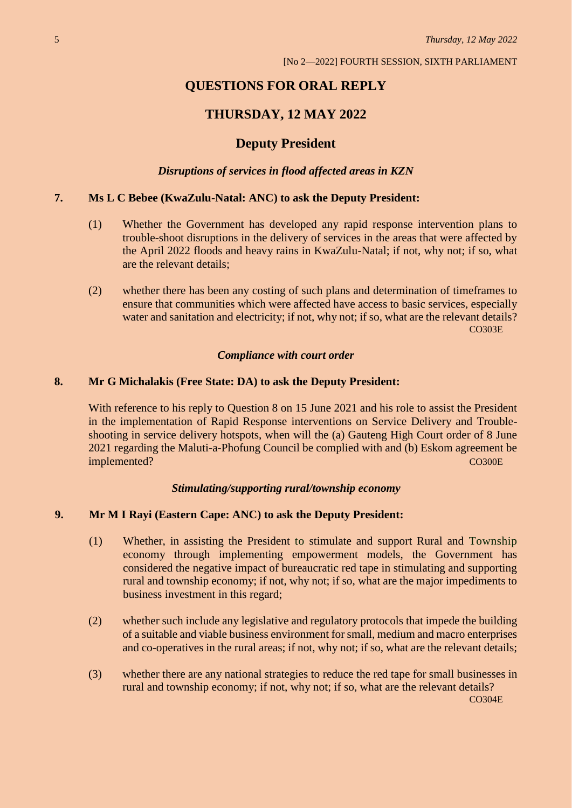# **QUESTIONS FOR ORAL REPLY**

## **THURSDAY, 12 MAY 2022**

### **Deputy President**

*Disruptions of services in flood affected areas in KZN*

#### **7. Ms L C Bebee (KwaZulu-Natal: ANC) to ask the Deputy President:**

- (1) Whether the Government has developed any rapid response intervention plans to trouble-shoot disruptions in the delivery of services in the areas that were affected by the April 2022 floods and heavy rains in KwaZulu-Natal; if not, why not; if so, what are the relevant details;
- (2) whether there has been any costing of such plans and determination of timeframes to ensure that communities which were affected have access to basic services, especially water and sanitation and electricity; if not, why not; if so, what are the relevant details? CO303E

#### *Compliance with court order*

#### **8. Mr G Michalakis (Free State: DA) to ask the Deputy President:**

With reference to his reply to Question 8 on 15 June 2021 and his role to assist the President in the implementation of Rapid Response interventions on Service Delivery and Troubleshooting in service delivery hotspots, when will the (a) Gauteng High Court order of 8 June 2021 regarding the Maluti-a-Phofung Council be complied with and (b) Eskom agreement be implemented? CO300E

#### *Stimulating/supporting rural/township economy*

#### **9. Mr M I Rayi (Eastern Cape: ANC) to ask the Deputy President:**

- (1) Whether, in assisting the President to stimulate and support Rural and Township economy through implementing empowerment models, the Government has considered the negative impact of bureaucratic red tape in stimulating and supporting rural and township economy; if not, why not; if so, what are the major impediments to business investment in this regard;
- (2) whether such include any legislative and regulatory protocols that impede the building of a suitable and viable business environment for small, medium and macro enterprises and co-operatives in the rural areas; if not, why not; if so, what are the relevant details;
- (3) whether there are any national strategies to reduce the red tape for small businesses in rural and township economy; if not, why not; if so, what are the relevant details? CO304E